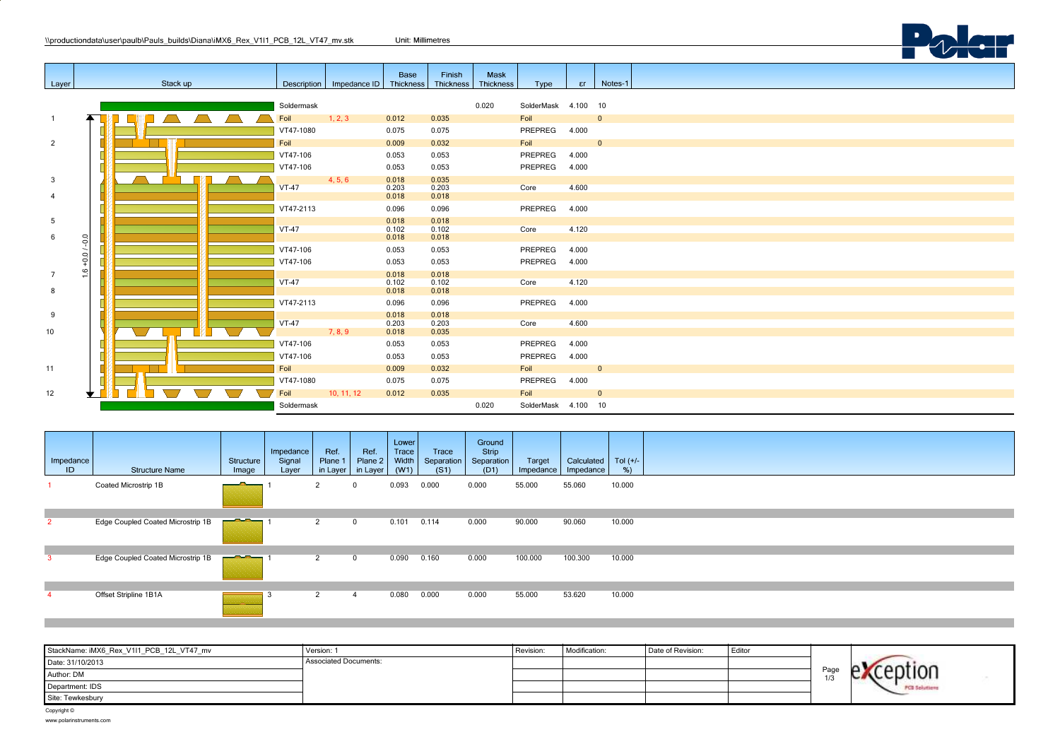|                |               | \\productiondata\user\paulb\Pauls builds\Diana\iMX6 Rex V1I1 PCB 12L VT47 mv.stk |            |                                        | Unit: Millimetres       |                         |                          |                     |       |                         |  |
|----------------|---------------|----------------------------------------------------------------------------------|------------|----------------------------------------|-------------------------|-------------------------|--------------------------|---------------------|-------|-------------------------|--|
|                |               |                                                                                  |            |                                        |                         |                         |                          |                     |       |                         |  |
| Layer          |               | Stack up                                                                         |            | Description   Impedance ID   Thickness | Base                    | Finish<br>Thickness     | Mask<br><b>Thickness</b> | Type                | er    | Notes-1                 |  |
|                |               |                                                                                  | Soldermask |                                        |                         |                         | 0.020                    | SolderMask 4.100 10 |       |                         |  |
| $\overline{1}$ |               |                                                                                  | Foil       | 1, 2, 3                                | 0.012                   | 0.035                   |                          | Foil                |       | $\overline{0}$          |  |
|                |               |                                                                                  | VT47-1080  |                                        | 0.075                   | 0.075                   |                          | PREPREG 4.000       |       |                         |  |
| $\overline{2}$ |               |                                                                                  | Foil       |                                        | 0.009                   | 0.032                   |                          | Foil                |       | $\overline{\mathbf{0}}$ |  |
|                |               |                                                                                  | VT47-106   |                                        | 0.053                   | 0.053                   |                          | PREPREG             | 4.000 |                         |  |
|                |               |                                                                                  | VT47-106   |                                        | 0.053                   | 0.053                   |                          | PREPREG             | 4.000 |                         |  |
| $\mathbf{3}$   |               |                                                                                  | $VT-47$    | 4, 5, 6                                | 0.018<br>0.203          | 0.035<br>0.203          |                          | Core                | 4.600 |                         |  |
| $\overline{4}$ |               |                                                                                  |            |                                        | 0.018                   | 0.018                   |                          |                     |       |                         |  |
|                |               |                                                                                  | VT47-2113  |                                        | 0.096                   | 0.096                   |                          | PREPREG             | 4.000 |                         |  |
| 5<br>6         |               |                                                                                  | $VT-47$    |                                        | 0.018<br>0.102<br>0.018 | 0.018<br>0.102<br>0.018 |                          | Core                | 4.120 |                         |  |
|                | $-0.0$        |                                                                                  | VT47-106   |                                        | 0.053                   | 0.053                   |                          | PREPREG             | 4.000 |                         |  |
|                | $+0.01$       |                                                                                  | VT47-106   |                                        | 0.053                   | 0.053                   |                          | PREPREG             | 4.000 |                         |  |
| $\overline{7}$ | $\frac{6}{1}$ |                                                                                  |            |                                        | 0.018                   | 0.018                   |                          |                     |       |                         |  |
|                |               |                                                                                  | $VT-47$    |                                        | 0.102                   | 0.102                   |                          | Core                | 4.120 |                         |  |
| 8              |               |                                                                                  |            |                                        | 0.018                   | 0.018                   |                          |                     |       |                         |  |
|                |               |                                                                                  | VT47-2113  |                                        | 0.096                   | 0.096                   |                          | PREPREG             | 4.000 |                         |  |
| 9              |               |                                                                                  | $VT-47$    |                                        | 0.018<br>0.203          | 0.018<br>0.203          |                          | Core                | 4.600 |                         |  |
| 10             |               |                                                                                  |            | 7, 8, 9                                | 0.018                   | 0.035                   |                          |                     |       |                         |  |
|                |               |                                                                                  | VT47-106   |                                        | 0.053                   | 0.053                   |                          | PREPREG             | 4.000 |                         |  |
|                |               |                                                                                  | VT47-106   |                                        | 0.053                   | 0.053                   |                          | PREPREG             | 4.000 |                         |  |
| 11             |               |                                                                                  | Foil       |                                        | 0.009                   | 0.032                   |                          | Foil                |       | $\overline{0}$          |  |
|                |               |                                                                                  | VT47-1080  |                                        | 0.075                   | 0.075                   |                          | PREPREG 4.000       |       |                         |  |
| 12             |               |                                                                                  | Foil       | 10, 11, 12                             | 0.012                   | 0.035                   |                          | Foil                |       | $\overline{\mathbf{0}}$ |  |
|                |               |                                                                                  | Soldermask |                                        |                         |                         | 0.020                    | SolderMask 4.100 10 |       |                         |  |

| Impedance<br>ID | <b>Structure Name</b>             | Structure<br>Image                                                                                                                                                                                                                   | Impedance<br>Signal<br>Layer | Ref.<br>Plane 1<br>in Layer | Ref.<br>Plane 2<br>in Layer | Lower<br>Trace<br>Width<br>(W1) | Trace<br>Separation<br>(S1) | Ground<br>Strip<br>Separation<br>(D1) | Target<br>$Im$ pedance | Calculated<br>Impedance | Tol $(+/-)$<br>$%$ ) |
|-----------------|-----------------------------------|--------------------------------------------------------------------------------------------------------------------------------------------------------------------------------------------------------------------------------------|------------------------------|-----------------------------|-----------------------------|---------------------------------|-----------------------------|---------------------------------------|------------------------|-------------------------|----------------------|
|                 | Coated Microstrip 1B              | <u> a shekara ta 1989, a shekara ta 1989, a shekara ta 1989, a shekara ta 1989, a shekara ta 1989, a shekara ta 1989, a shekara ta 1989, a shekara ta 1989, a shekara ta 1989, a shekara ta 1989, a shekara ta 1989, a shekara t</u> |                              | 2                           |                             | 0.093                           | 0.000                       | 0.000                                 | 55.000                 | 55.060                  | 10.000               |
| $\overline{2}$  | Edge Coupled Coated Microstrip 1B | <u> a a seu</u>                                                                                                                                                                                                                      |                              | 2                           | $\mathbf{0}$                | 0.101                           | 0.114                       | 0.000                                 | 90.000                 | 90.060                  | 10.000               |
|                 | Edge Coupled Coated Microstrip 1B | <u> and the second second second second second second second second second second second second second second second second second second second second second second second second second second second second second second se</u> |                              | 2                           | 0                           | 0.090                           | 0.160                       | 0.000                                 | 100.000                | 100.300                 | 10.000               |
|                 | Offset Stripline 1B1A             | ____                                                                                                                                                                                                                                 | - 0                          | 2                           | 4                           | 0.080                           | 0.000                       | 0.000                                 | 55.000                 | 53.620                  | 10.000               |

| StackName: iMX6_Rex_V1I1_PCB_12L_VT47_mv | Version: 1                   | Revision: | Modification: | Date of Revision: | l Editor |      |                     |
|------------------------------------------|------------------------------|-----------|---------------|-------------------|----------|------|---------------------|
| Date: 31/10/2013                         | <b>Associated Documents:</b> |           |               |                   |          |      |                     |
| Author: DM                               |                              |           |               |                   |          | Page |                     |
| Department: IDS                          |                              |           |               |                   |          |      | <b>PCB Solution</b> |
| Site: Tewkesbury                         |                              |           |               |                   |          |      |                     |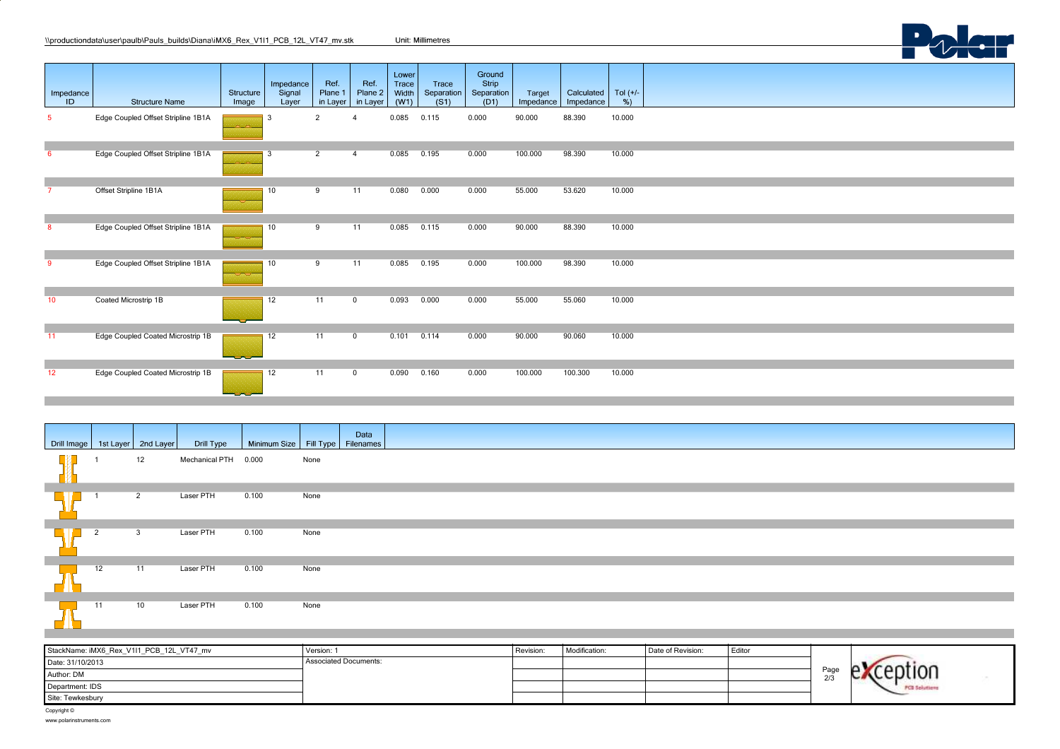| Impedance<br>ID. | <b>Structure Name</b>              | Structure<br>Image | Impedance<br>Signal<br>Layer | Ref.<br>Plane 1<br>in Layer | Ref.<br>Plane 2<br>in Layer | Lower<br>Trace<br>Width<br>(W1) | Trace<br>Separation<br>(S1) | Ground<br>Strip<br>Separation<br>(D1) | Target<br>Impedance | Calculated<br>Impedance | Tol $(+/-$<br>%) |  |  |  |  |
|------------------|------------------------------------|--------------------|------------------------------|-----------------------------|-----------------------------|---------------------------------|-----------------------------|---------------------------------------|---------------------|-------------------------|------------------|--|--|--|--|
| 5                | Edge Coupled Offset Stripline 1B1A |                    | 3                            | $\overline{2}$              |                             | 0.085                           | 0.115                       | 0.000                                 | 90.000              | 88.390                  | 10.000           |  |  |  |  |
| -6               | Edge Coupled Offset Stripline 1B1A | للمتنامذ           | 3                            | $\overline{2}$              | 4                           | 0.085                           | 0.195                       | 0.000                                 | 100.000             | 98.390                  | 10.000           |  |  |  |  |
|                  | Offset Stripline 1B1A              |                    | 10                           | 9                           | 11                          | 0.080                           | 0.000                       | 0.000                                 | 55.000              | 53.620                  | 10.000           |  |  |  |  |
| 8                | Edge Coupled Offset Stripline 1B1A |                    | 10                           | 9                           | 11                          | 0.085                           | 0.115                       | 0.000                                 | 90.000              | 88.390                  | 10.000           |  |  |  |  |
| -9               | Edge Coupled Offset Stripline 1B1A |                    | 10                           | 9                           | 11                          | 0.085                           | 0.195                       | 0.000                                 | 100.000             | 98.390                  | 10.000           |  |  |  |  |
| 10               | Coated Microstrip 1B               |                    | 12                           | 11                          | $\mathbf 0$                 | 0.093                           | 0.000                       | 0.000                                 | 55.000              | 55.060                  | 10.000           |  |  |  |  |
| 11               | Edge Coupled Coated Microstrip 1B  | ---                | 12                           | 11                          | $\mathbf 0$                 | 0.101                           | 0.114                       | 0.000                                 | 90.000              | 90.060                  | 10.000           |  |  |  |  |
| 12               | Edge Coupled Coated Microstrip 1B  | ---                | 12                           | 11                          | $\mathbf 0$                 | 0.090                           | 0.160                       | 0.000                                 | 100.000             | 100.300                 | 10.000           |  |  |  |  |

Polar

| Drill Image   1st Layer   2nd Layer |                |                | Drill Type           | Minimum Size   Fill Type   Filenames |      | Data |
|-------------------------------------|----------------|----------------|----------------------|--------------------------------------|------|------|
|                                     |                | 12             | Mechanical PTH 0.000 |                                      | None |      |
|                                     |                | $\overline{2}$ | Laser PTH            | 0.100                                | None |      |
|                                     | $\overline{2}$ | $\mathbf{3}$   | Laser PTH            | 0.100                                | None |      |
|                                     | 12             | 11             | Laser PTH            | 0.100                                | None |      |
|                                     | 11             | 10             | Laser PTH            | 0.100                                | None |      |

| StackName: iMX6_Rex_V1I1_PCB_12L_VT47_mv | Version:                     | Revision: | Modification: | Date of Revision: | Editor |             |  |
|------------------------------------------|------------------------------|-----------|---------------|-------------------|--------|-------------|--|
| Date: 31/10/2013                         | <b>Associated Documents:</b> |           |               |                   |        |             |  |
| Author: DM                               |                              |           |               |                   |        | Page<br>213 |  |
| Department: IDS                          |                              |           |               |                   |        |             |  |
| Site: Tewkesbury                         |                              |           |               |                   |        |             |  |